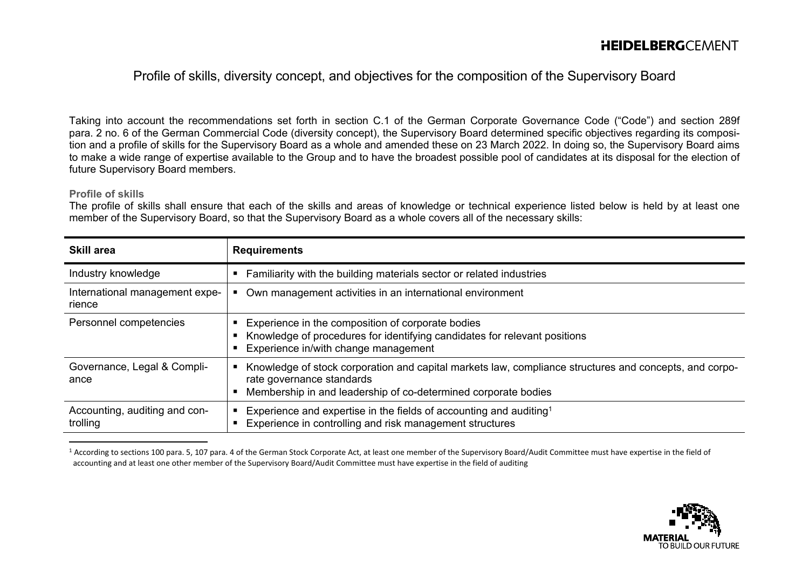# Profile of skills, diversity concept, and objectives for the composition of the Supervisory Board

Taking into account the recommendations set forth in section C.1 of the German Corporate Governance Code ("Code") and section 289f para. 2 no. 6 of the German Commercial Code (diversity concept), the Supervisory Board determined specific objectives regarding its composition and a profile of skills for the Supervisory Board as a whole and amended these on 23 March 2022. In doing so, the Supervisory Board aims to make a wide range of expertise available to the Group and to have the broadest possible pool of candidates at its disposal for the election of future Supervisory Board members.

#### **Profile of skills**

The profile of skills shall ensure that each of the skills and areas of knowledge or technical experience listed below is held by at least one member of the Supervisory Board, so that the Supervisory Board as a whole covers all of the necessary skills:

| <b>Skill area</b>                         | <b>Requirements</b>                                                                                                                                                                                   |
|-------------------------------------------|-------------------------------------------------------------------------------------------------------------------------------------------------------------------------------------------------------|
| Industry knowledge                        | Familiarity with the building materials sector or related industries                                                                                                                                  |
| International management expe-<br>rience  | Own management activities in an international environment                                                                                                                                             |
| Personnel competencies                    | Experience in the composition of corporate bodies<br>Knowledge of procedures for identifying candidates for relevant positions<br>Experience in/with change management                                |
| Governance, Legal & Compli-<br>ance       | Knowledge of stock corporation and capital markets law, compliance structures and concepts, and corpo-<br>rate governance standards<br>Membership in and leadership of co-determined corporate bodies |
| Accounting, auditing and con-<br>trolling | Experience and expertise in the fields of accounting and auditing <sup>1</sup><br>Experience in controlling and risk management structures                                                            |

<sup>1</sup> According to sections 100 para. 5, 107 para. 4 of the German Stock Corporate Act, at least one member of the Supervisory Board/Audit Committee must have expertise in the field of accounting and at least one other member of the Supervisory Board/Audit Committee must have expertise in the field of auditing